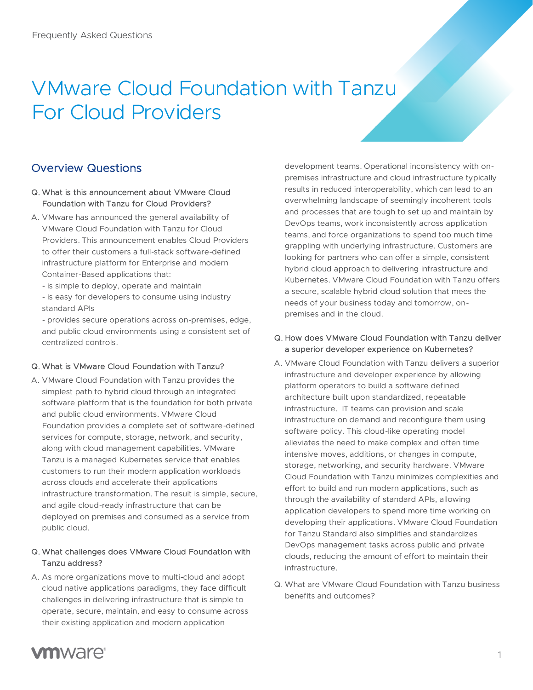# VMware Cloud Foundation with Tanzu For Cloud Providers

# Overview Questions

#### Q. What is this announcement about VMware Cloud Foundation with Tanzu for Cloud Providers?

- A. VMware has announced the general availability of VMware Cloud Foundation with Tanzu for Cloud Providers. This announcement enables Cloud Providers to offer their customers a full-stack software-defined infrastructure platform for Enterprise and modern Container-Based applications that:
	- is simple to deploy, operate and maintain
	- is easy for developers to consume using industry standard APIs

- provides secure operations across on-premises, edge, and public cloud environments using a consistent set of centralized controls.

#### Q. What is VMware Cloud Foundation with Tanzu?

A. VMware Cloud Foundation with Tanzu provides the simplest path to hybrid cloud through an integrated software platform that is the foundation for both private and public cloud environments. VMware Cloud Foundation provides a complete set of software-defined services for compute, storage, network, and security, along with cloud management capabilities. VMware Tanzu is a managed Kubernetes service that enables customers to run their modern application workloads across clouds and accelerate their applications infrastructure transformation. The result is simple, secure, and agile cloud-ready infrastructure that can be deployed on premises and consumed as a service from public cloud.

#### Q. What challenges does VMware Cloud Foundation with Tanzu address?

A. As more organizations move to multi-cloud and adopt cloud native applications paradigms, they face difficult challenges in delivering infrastructure that is simple to operate, secure, maintain, and easy to consume across their existing application and modern application

development teams. Operational inconsistency with onpremises infrastructure and cloud infrastructure typically results in reduced interoperability, which can lead to an overwhelming landscape of seemingly incoherent tools and processes that are tough to set up and maintain by DevOps teams, work inconsistently across application teams, and force organizations to spend too much time grappling with underlying infrastructure. Customers are looking for partners who can offer a simple, consistent hybrid cloud approach to delivering infrastructure and Kubernetes. VMware Cloud Foundation with Tanzu offers a secure, scalable hybrid cloud solution that mees the needs of your business today and tomorrow, onpremises and in the cloud.

#### Q. How does VMware Cloud Foundation with Tanzu deliver a superior developer experience on Kubernetes?

- A. VMware Cloud Foundation with Tanzu delivers a superior infrastructure and developer experience by allowing platform operators to build a software defined architecture built upon standardized, repeatable infrastructure. IT teams can provision and scale infrastructure on demand and reconfigure them using software policy. This cloud-like operating model alleviates the need to make complex and often time intensive moves, additions, or changes in compute, storage, networking, and security hardware. VMware Cloud Foundation with Tanzu minimizes complexities and effort to build and run modern applications, such as through the availability of standard APIs, allowing application developers to spend more time working on developing their applications. VMware Cloud Foundation for Tanzu Standard also simplifies and standardizes DevOps management tasks across public and private clouds, reducing the amount of effort to maintain their infrastructure.
- Q. What are VMware Cloud Foundation with Tanzu business benefits and outcomes?

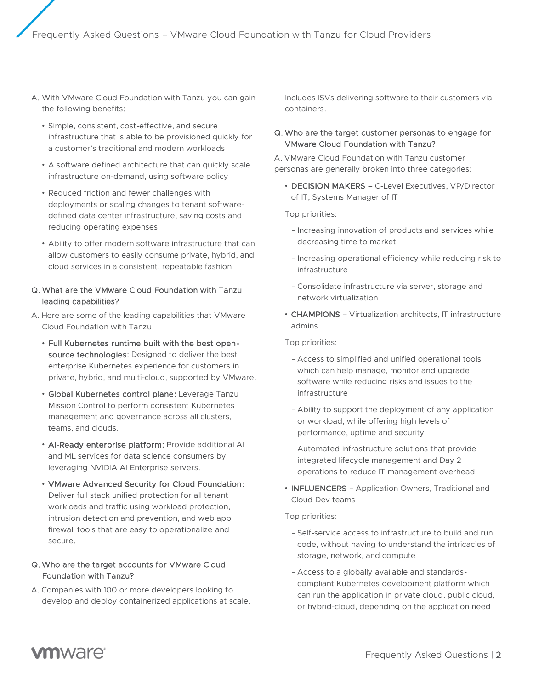- A. With VMware Cloud Foundation with Tanzu you can gain the following benefits:
	- Simple, consistent, cost-effective, and secure infrastructure that is able to be provisioned quickly for a customer's traditional and modern workloads
	- A software defined architecture that can quickly scale infrastructure on-demand, using software policy
	- Reduced friction and fewer challenges with deployments or scaling changes to tenant softwaredefined data center infrastructure, saving costs and reducing operating expenses
	- Ability to offer modern software infrastructure that can allow customers to easily consume private, hybrid, and cloud services in a consistent, repeatable fashion

#### Q. What are the VMware Cloud Foundation with Tanzu leading capabilities?

- A. Here are some of the leading capabilities that VMware Cloud Foundation with Tanzu:
	- Full Kubernetes runtime built with the best opensource technologies: Designed to deliver the best enterprise Kubernetes experience for customers in private, hybrid, and multi-cloud, supported by VMware.
	- Global Kubernetes control plane: Leverage Tanzu Mission Control to perform consistent Kubernetes management and governance across all clusters, teams, and clouds.
	- AI-Ready enterprise platform: Provide additional AI and ML services for data science consumers by leveraging NVIDIA AI Enterprise servers.
	- VMware Advanced Security for Cloud Foundation: Deliver full stack unified protection for all tenant workloads and traffic using workload protection, intrusion detection and prevention, and web app firewall tools that are easy to operationalize and secure.

#### Q. Who are the target accounts for VMware Cloud Foundation with Tanzu?

A. Companies with 100 or more developers looking to develop and deploy containerized applications at scale.

Includes ISVs delivering software to their customers via containers.

#### Q. Who are the target customer personas to engage for VMware Cloud Foundation with Tanzu?

A. VMware Cloud Foundation with Tanzu customer personas are generally broken into three categories:

• DECISION MAKERS – C-Level Executives, VP/Director of IT, Systems Manager of IT

Top priorities:

- –Increasing innovation of products and services while decreasing time to market
- –Increasing operational efficiency while reducing risk to infrastructure
- –Consolidate infrastructure via server, storage and network virtualization
- CHAMPIONS Virtualization architects, IT infrastructure admins

Top priorities:

- Access to simplified and unified operational tools which can help manage, monitor and upgrade software while reducing risks and issues to the infrastructure
- Ability to support the deployment of any application or workload, while offering high levels of performance, uptime and security
- Automated infrastructure solutions that provide integrated lifecycle management and Day 2 operations to reduce IT management overhead
- INFLUENCERS Application Owners, Traditional and Cloud Dev teams

Top priorities:

- –Self-service access to infrastructure to build and run code, without having to understand the intricacies of storage, network, and compute
- Access to a globally available and standardscompliant Kubernetes development platform which can run the application in private cloud, public cloud, or hybrid-cloud, depending on the application need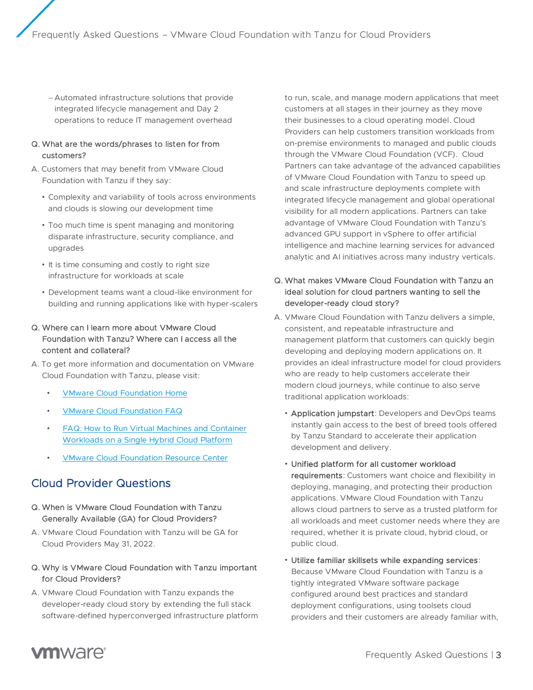– Automated infrastructure solutions that provide integrated lifecycle management and Day 2 operations to reduce IT management overhead

#### Q. What are the words/phrases to listen for from customers?

- A. Customers that may benefit from VMware Cloud Foundation with Tanzu if they say:
	- Complexity and variability of tools across environments and clouds is slowing our development time
	- Too much time is spent managing and monitoring disparate infrastructure, security compliance, and upgrades
	- It is time consuming and costly to right size infrastructure for workloads at scale
	- Development teams want a cloud-like environment for building and running applications like with hyper-scalers

#### Q. Where can I learn more about VMware Cloud Foundation with Tanzu? Where can I access all the content and collateral?

- A. To get more information and documentation on VMware Cloud Foundation with Tanzu, please visit:
	- [VMware Cloud Foundation Home](https://www.vmware.com/products/cloud-foundation.html)
	- [VMware Cloud Foundation FAQ](https://www.vmware.com/content/dam/digitalmarketing/vmware/en/pdf/datasheet/products/vmware-cloud-foundation-faq.pdf)
	- [FAQ: How to Run Virtual Machines and Container](https://www.vmware.com/learn/683894_FAQs-VMs-Containers.html)  [Workloads on a Single Hybrid Cloud Platform](https://www.vmware.com/learn/683894_FAQs-VMs-Containers.html)
	- [VMware Cloud Foundation Resource Center](https://core.vmware.com/vmware-cloud-foundation)

## Cloud Provider Questions

- Q. When is VMware Cloud Foundation with Tanzu Generally Available (GA) for Cloud Providers?
- A. VMware Cloud Foundation with Tanzu will be GA for Cloud Providers May 31, 2022.
- Q. Why is VMware Cloud Foundation with Tanzu important for Cloud Providers?
- A. VMware Cloud Foundation with Tanzu expands the developer-ready cloud story by extending the full stack software-defined hyperconverged infrastructure platform

to run, scale, and manage modern applications that meet customers at all stages in their journey as they move their businesses to a cloud operating model. Cloud Providers can help customers transition workloads from on-premise environments to managed and public clouds through the VMware Cloud Foundation (VCF). Cloud Partners can take advantage of the advanced capabilities of VMware Cloud Foundation with Tanzu to speed up and scale infrastructure deployments complete with integrated lifecycle management and global operational visibility for all modern applications. Partners can take advantage of VMware Cloud Foundation with Tanzu's advanced GPU support in vSphere to offer artificial intelligence and machine learning services for advanced analytic and AI initiatives across many industry verticals.

#### Q. What makes VMware Cloud Foundation with Tanzu an ideal solution for cloud partners wanting to sell the developer-ready cloud story?

- A. VMware Cloud Foundation with Tanzu delivers a simple, consistent, and repeatable infrastructure and management platform that customers can quickly begin developing and deploying modern applications on. It provides an ideal infrastructure model for cloud providers who are ready to help customers accelerate their modern cloud journeys, while continue to also serve traditional application workloads:
	- Application jumpstart: Developers and DevOps teams instantly gain access to the best of breed tools offered by Tanzu Standard to accelerate their application development and delivery.
	- Unified platform for all customer workload requirements: Customers want choice and flexibility in deploying, managing, and protecting their production applications. VMware Cloud Foundation with Tanzu allows cloud partners to serve as a trusted platform for all workloads and meet customer needs where they are required, whether it is private cloud, hybrid cloud, or public cloud.
	- Utilize familiar skillsets while expanding services: Because VMware Cloud Foundation with Tanzu is a tightly integrated VMware software package configured around best practices and standard deployment configurations, using toolsets cloud providers and their customers are already familiar with,

# **vm**ware<sup>®</sup>